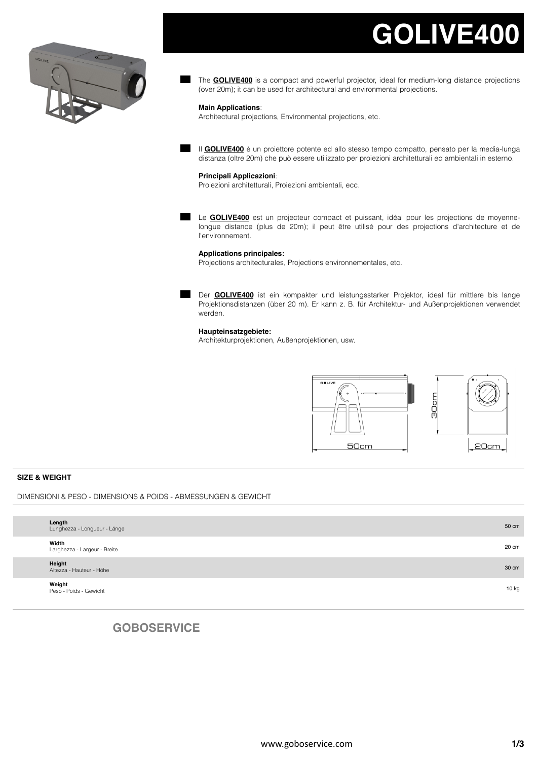# **GOLIVE400**



The **GOLIVE400** is a compact and powerful projector, ideal for medium-long distance projections (over 20m); it can be used for architectural and environmental projections.

#### **Main Applications**:

Architectural projections, Environmental projections, etc.

Il **GOLIVE400** è un proiettore potente ed allo stesso tempo compatto, pensato per la media-lunga distanza (oltre 20m) che può essere utilizzato per proiezioni architetturali ed ambientali in esterno.

#### **Principali Applicazioni**:

Proiezioni architetturali, Proiezioni ambientali, ecc.

Le **GOLIVE400** est un projecteur compact et puissant, idéal pour les projections de moyennelongue distance (plus de 20m); il peut être utilisé pour des projections d'architecture et de l'environnement.

#### **Applications principales:**

Projections architecturales, Projections environnementales, etc.

Der **GOLIVE400** ist ein kompakter und leistungsstarker Projektor, ideal für mittlere bis lange Projektionsdistanzen (über 20 m). Er kann z. B. für Architektur- und Außenprojektionen verwendet werden.

#### **Haupteinsatzgebiete:**

Architekturprojektionen, Außenprojektionen, usw.



#### **SIZE & WEIGHT**

DIMENSIONI & PESO - DIMENSIONS & POIDS - ABMESSUNGEN & GEWICHT

| Length<br>Lunghezza - Longueur - Länge | 50 cm |
|----------------------------------------|-------|
| Width<br>Larghezza - Largeur - Breite  | 20 cm |
| Height<br>Altezza - Hauteur - Höhe     | 30 cm |
| Weight<br>Peso - Poids - Gewicht       | 10 kg |
|                                        |       |

## **GOBOSERVICE**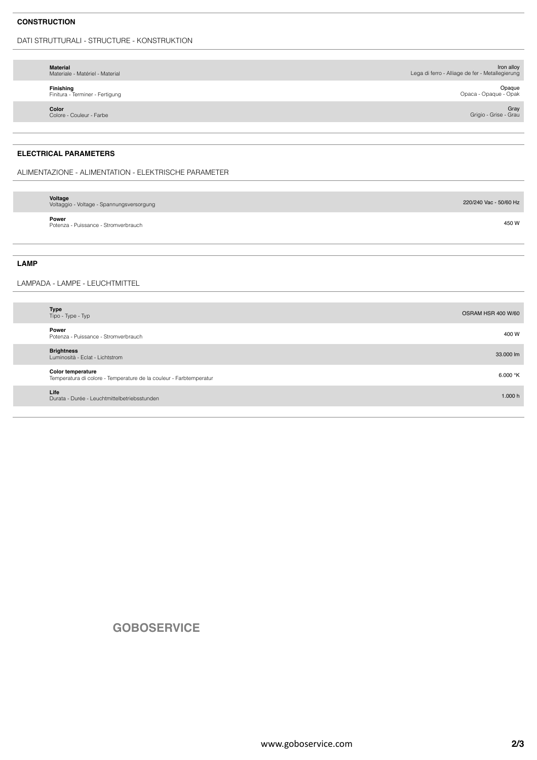### **CONSTRUCTION**

DATI STRUTTURALI - STRUCTURE - KONSTRUKTION

| <b>Material</b><br>Materiale - Matériel - Material | Iron alloy<br>Lega di ferro - Alliage de fer - Metallegierung |
|----------------------------------------------------|---------------------------------------------------------------|
| Finishing<br>Finitura - Terminer - Fertigung       | Opaque<br>Opaca - Opaque - Opak                               |
| Color<br>Colore - Couleur - Farbe                  | Gray<br>Grigio - Grise - Grau                                 |
|                                                    |                                                               |

### **ELECTRICAL PARAMETERS**

ALIMENTAZIONE - ALIMENTATION - ELEKTRISCHE PARAMETER

| Voltage<br>Voltaggio - Voltage - Spannungsversorgung | 220/240 Vac - 50/60 Hz |
|------------------------------------------------------|------------------------|
| Power<br>Potenza - Puissance - Stromverbrauch        | 450 W                  |

#### **LAMP**

LAMPADA - LAMPE - LEUCHTMITTEL

| <b>Type</b><br>Tipo - Type - Typ                                                        | OSRAM HSR 400 W/60 |
|-----------------------------------------------------------------------------------------|--------------------|
| Power<br>Potenza - Puissance - Stromverbrauch                                           | 400 W              |
| <b>Brightness</b><br>Luminosità - Eclat - Lichtstrom                                    | 33.000 lm          |
| Color temperature<br>Temperatura di colore - Temperature de la couleur - Farbtemperatur | 6.000 $\mathrm{K}$ |
| Life<br>Durata - Durée - Leuchtmittelbetriebsstunden                                    | 1.000 h            |

## **GOBOSERVICE**